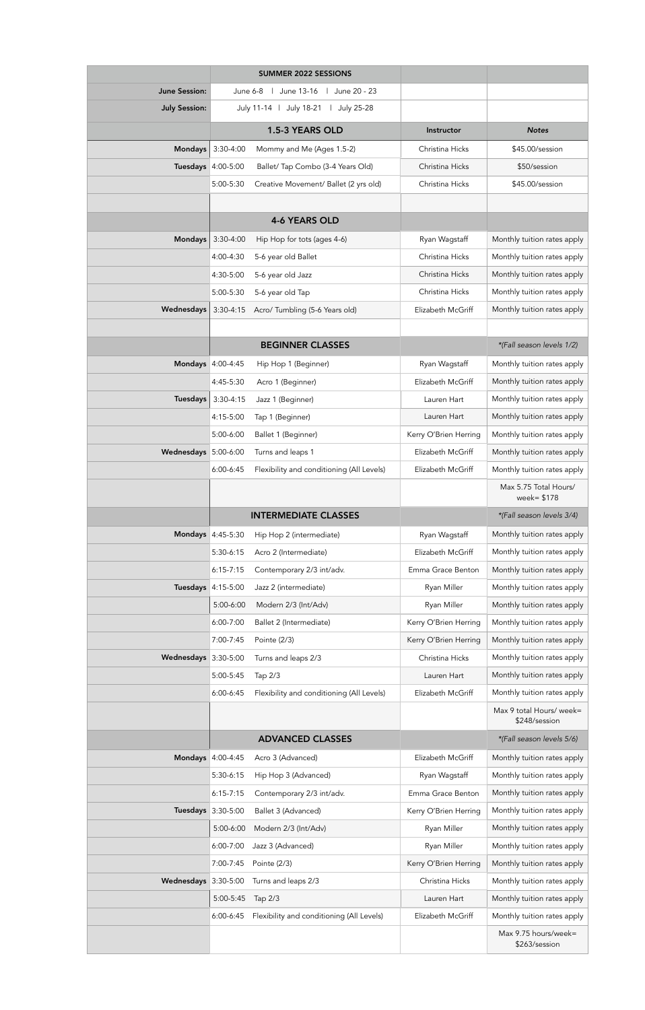|                      |                                                 | <b>SUMMER 2022 SESSIONS</b>               |                       |                                           |
|----------------------|-------------------------------------------------|-------------------------------------------|-----------------------|-------------------------------------------|
| <b>June Session:</b> | June 13-16<br>June 20 - 23<br>June 6-8          |                                           |                       |                                           |
| <b>July Session:</b> | July 11-14   July 18-21<br>July 25-28<br>$\Box$ |                                           |                       |                                           |
|                      |                                                 | 1.5-3 YEARS OLD                           | Instructor            | <b>Notes</b>                              |
| <b>Mondays</b>       | $3:30-4:00$                                     | Mommy and Me (Ages 1.5-2)                 | Christina Hicks       | \$45.00/session                           |
|                      | <b>Tuesdays</b> 4:00-5:00                       | Ballet/ Tap Combo (3-4 Years Old)         | Christina Hicks       | \$50/session                              |
|                      | 5:00-5:30                                       | Creative Movement/ Ballet (2 yrs old)     | Christina Hicks       | \$45.00/session                           |
|                      |                                                 |                                           |                       |                                           |
|                      |                                                 | <b>4-6 YEARS OLD</b>                      |                       |                                           |
| <b>Mondays</b>       | $3:30-4:00$                                     | Hip Hop for tots (ages 4-6)               | Ryan Wagstaff         | Monthly tuition rates apply               |
|                      | 4:00-4:30                                       | 5-6 year old Ballet                       | Christina Hicks       | Monthly tuition rates apply               |
|                      | 4:30-5:00                                       | 5-6 year old Jazz                         | Christina Hicks       | Monthly tuition rates apply               |
|                      | 5:00-5:30                                       | 5-6 year old Tap                          | Christina Hicks       | Monthly tuition rates apply               |
| Wednesdays           | $3:30-4:15$                                     | Acro/ Tumbling (5-6 Years old)            | Elizabeth McGriff     | Monthly tuition rates apply               |
|                      |                                                 |                                           |                       |                                           |
|                      |                                                 | <b>BEGINNER CLASSES</b>                   |                       | *(Fall season levels 1/2)                 |
|                      | Mondays 4:00-4:45                               | Hip Hop 1 (Beginner)                      | Ryan Wagstaff         | Monthly tuition rates apply               |
|                      | 4:45-5:30                                       | Acro 1 (Beginner)                         | Elizabeth McGriff     | Monthly tuition rates apply               |
| <b>Tuesdays</b>      | $3:30-4:15$                                     | Jazz 1 (Beginner)                         | Lauren Hart           | Monthly tuition rates apply               |
|                      | 4:15-5:00                                       | Tap 1 (Beginner)                          | Lauren Hart           | Monthly tuition rates apply               |
|                      | 5:00-6:00                                       | Ballet 1 (Beginner)                       | Kerry O'Brien Herring | Monthly tuition rates apply               |
| Wednesdays 5:00-6:00 |                                                 | Turns and leaps 1                         | Elizabeth McGriff     | Monthly tuition rates apply               |
|                      | $6:00 - 6:45$                                   | Flexibility and conditioning (All Levels) | Elizabeth McGriff     | Monthly tuition rates apply               |
|                      |                                                 |                                           |                       | Max 5.75 Total Hours/<br>week= $$178$     |
|                      |                                                 | <b>INTERMEDIATE CLASSES</b>               |                       | *(Fall season levels 3/4)                 |
|                      | Mondays 4:45-5:30                               | Hip Hop 2 (intermediate)                  | Ryan Wagstaff         | Monthly tuition rates apply               |
|                      | $5:30-6:15$                                     | Acro 2 (Intermediate)                     | Elizabeth McGriff     | Monthly tuition rates apply               |
|                      | $6:15 - 7:15$                                   | Contemporary 2/3 int/adv.                 | Emma Grace Benton     | Monthly tuition rates apply               |
|                      | <b>Tuesdays</b> 4:15-5:00                       | Jazz 2 (intermediate)                     | Ryan Miller           | Monthly tuition rates apply               |
|                      | 5:00-6:00                                       | Modern 2/3 (Int/Adv)                      | Ryan Miller           | Monthly tuition rates apply               |
|                      | 6:00-7:00                                       | Ballet 2 (Intermediate)                   | Kerry O'Brien Herring | Monthly tuition rates apply               |
|                      | 7:00-7:45                                       | Pointe (2/3)                              | Kerry O'Brien Herring | Monthly tuition rates apply               |
| Wednesdays 3:30-5:00 |                                                 | Turns and leaps 2/3                       | Christina Hicks       | Monthly tuition rates apply               |
|                      | 5:00-5:45                                       | Tap 2/3                                   | Lauren Hart           | Monthly tuition rates apply               |
|                      | $6:00 - 6:45$                                   | Flexibility and conditioning (All Levels) | Elizabeth McGriff     | Monthly tuition rates apply               |
|                      |                                                 |                                           |                       | Max 9 total Hours/ week=<br>\$248/session |
|                      |                                                 | <b>ADVANCED CLASSES</b>                   |                       | *(Fall season levels 5/6)                 |
|                      | Mondays 4:00-4:45                               | Acro 3 (Advanced)                         | Elizabeth McGriff     | Monthly tuition rates apply               |
|                      | $5:30-6:15$                                     | Hip Hop 3 (Advanced)                      | Ryan Wagstaff         | Monthly tuition rates apply               |
|                      | $6:15 - 7:15$                                   | Contemporary 2/3 int/adv.                 | Emma Grace Benton     | Monthly tuition rates apply               |
|                      | <b>Tuesdays</b> 3:30-5:00                       | Ballet 3 (Advanced)                       | Kerry O'Brien Herring | Monthly tuition rates apply               |
|                      | 5:00-6:00                                       | Modern 2/3 (Int/Adv)                      | Ryan Miller           | Monthly tuition rates apply               |
|                      | 6:00-7:00                                       | Jazz 3 (Advanced)                         | Ryan Miller           | Monthly tuition rates apply               |
|                      | 7:00-7:45                                       | Pointe (2/3)                              | Kerry O'Brien Herring | Monthly tuition rates apply               |
| Wednesdays 3:30-5:00 |                                                 | Turns and leaps 2/3                       | Christina Hicks       | Monthly tuition rates apply               |
|                      | 5:00-5:45                                       | Tap 2/3                                   | Lauren Hart           | Monthly tuition rates apply               |
|                      | $6:00 - 6:45$                                   | Flexibility and conditioning (All Levels) | Elizabeth McGriff     | Monthly tuition rates apply               |
|                      |                                                 |                                           |                       | Max 9.75 hours/week=                      |
|                      |                                                 |                                           |                       | \$263/session                             |